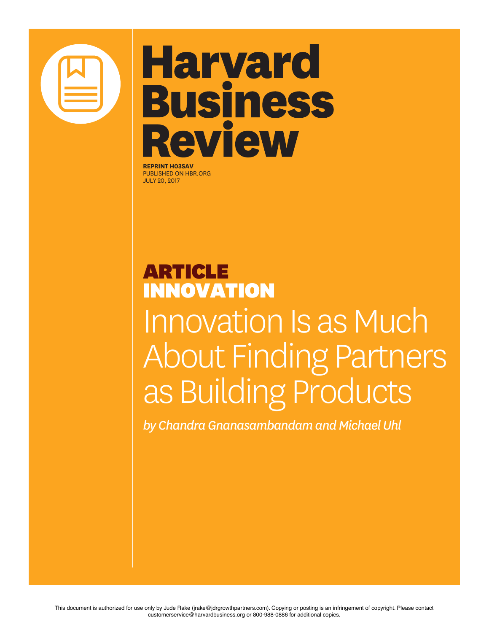

## **Harvard Business** Review

**REPRINT H03SAV** PUBLISHED ON HBR.ORG JULY 20, 2017

## ARTICLE INNOVATION Innovation Is as Much About Finding Partners as Building Products

*by Chandra Gnanasambandam and Michael Uhl*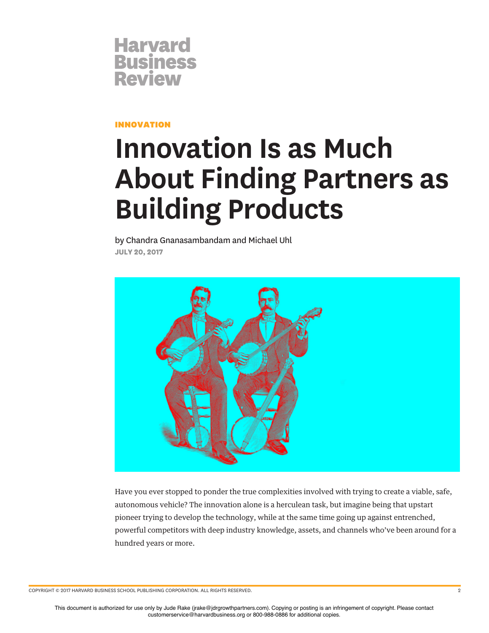

INNOVATION

## **Innovation Is as Much About Finding Partners as Building Products**

by Chandra Gnanasambandam and Michael Uhl **JULY 20, 2017**



Have you ever stopped to ponder the true complexities involved with trying to create a viable, safe, autonomous vehicle? The innovation alone is a herculean task, but imagine being that upstart pioneer trying to develop the technology, while at the same time going up against entrenched, powerful competitors with deep industry knowledge, assets, and channels who've been around for a hundred years or more.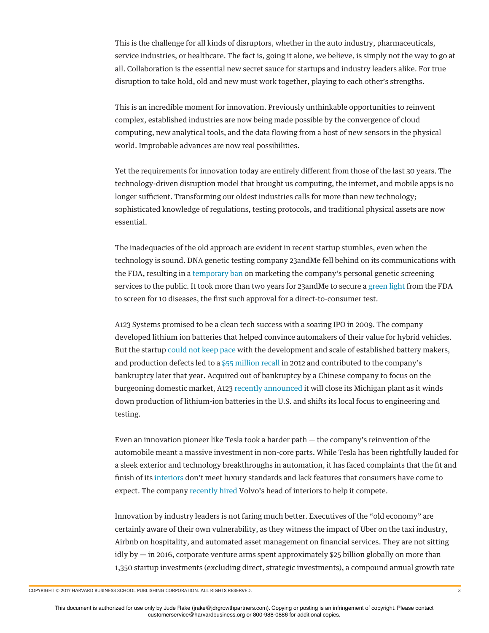This is the challenge for all kinds of disruptors, whether in the auto industry, pharmaceuticals, service industries, or healthcare. The fact is, going it alone, we believe, is simply not the way to go at all. Collaboration is the essential new secret sauce for startups and industry leaders alike. For true disruption to take hold, old and new must work together, playing to each other's strengths.

This is an incredible moment for innovation. Previously unthinkable opportunities to reinvent complex, established industries are now being made possible by the convergence of cloud computing, new analytical tools, and the data fowing from a host of new sensors in the physical world. Improbable advances are now real possibilities.

Yet the requirements for innovation today are entirely diferent from those of the last 30 years. The technology-driven disruption model that brought us computing, the internet, and mobile apps is no longer sufficient. Transforming our oldest industries calls for more than new technology; sophisticated knowledge of regulations, testing protocols, and traditional physical assets are now essential.

The inadequacies of the old approach are evident in recent startup stumbles, even when the technology is sound. DNA genetic testing company 23andMe fell behind on its communications with the FDA, resulting in a temporary ban on marketing the company's personal genetic screening services to the public. It took more than two years for 23andMe to secure a green light from the FDA to screen for 10 diseases, the frst such approval for a direct-to-consumer test.

A123 Systems promised to be a clean tech success with a soaring IPO in 2009. The company developed lithium ion batteries that helped convince automakers of their value for hybrid vehicles. But the startup could not keep pace with the development and scale of established battery makers, and production defects led to a \$55 million recall in 2012 and contributed to the company's bankruptcy later that year. Acquired out of bankruptcy by a Chinese company to focus on the burgeoning domestic market, A123 recently announced it will close its Michigan plant as it winds down production of lithium-ion batteries in the U.S. and shifts its local focus to engineering and testing.

Even an innovation pioneer like Tesla took a harder path — the company's reinvention of the automobile meant a massive investment in non-core parts. While Tesla has been rightfully lauded for a sleek exterior and technology breakthroughs in automation, it has faced complaints that the ft and fnish of its interiors don't meet luxury standards and lack features that consumers have come to expect. The company recently hired Volvo's head of interiors to help it compete.

Innovation by industry leaders is not faring much better. Executives of the "old economy" are certainly aware of their own vulnerability, as they witness the impact of Uber on the taxi industry, Airbnb on hospitality, and automated asset management on fnancial services. They are not sitting idly by — in 2016, corporate venture arms spent approximately \$25 billion globally on more than 1,350 startup investments (excluding direct, strategic investments), a compound annual growth rate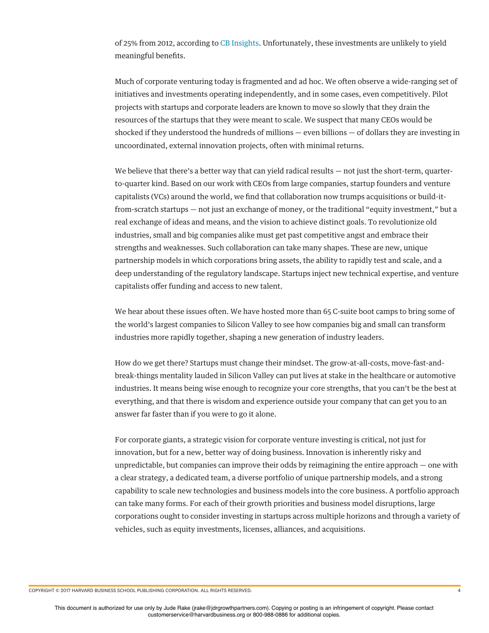of 25% from 2012, according to CB Insights. Unfortunately, these investments are unlikely to yield meaningful benefts.

Much of corporate venturing today is fragmented and ad hoc. We often observe a wide-ranging set of initiatives and investments operating independently, and in some cases, even competitively. Pilot projects with startups and corporate leaders are known to move so slowly that they drain the resources of the startups that they were meant to scale. We suspect that many CEOs would be shocked if they understood the hundreds of millions — even billions — of dollars they are investing in uncoordinated, external innovation projects, often with minimal returns.

We believe that there's a better way that can yield radical results — not just the short-term, quarterto-quarter kind. Based on our work with CEOs from large companies, startup founders and venture capitalists (VCs) around the world, we fnd that collaboration now trumps acquisitions or build-itfrom-scratch startups — not just an exchange of money, or the traditional "equity investment," but a real exchange of ideas and means, and the vision to achieve distinct goals. To revolutionize old industries, small and big companies alike must get past competitive angst and embrace their strengths and weaknesses. Such collaboration can take many shapes. These are new, unique partnership models in which corporations bring assets, the ability to rapidly test and scale, and a deep understanding of the regulatory landscape. Startups inject new technical expertise, and venture capitalists offer funding and access to new talent.

We hear about these issues often. We have hosted more than 65 C-suite boot camps to bring some of the world's largest companies to Silicon Valley to see how companies big and small can transform industries more rapidly together, shaping a new generation of industry leaders.

How do we get there? Startups must change their mindset. The grow-at-all-costs, move-fast-andbreak-things mentality lauded in Silicon Valley can put lives at stake in the healthcare or automotive industries. It means being wise enough to recognize your core strengths, that you can't be the best at everything, and that there is wisdom and experience outside your company that can get you to an answer far faster than if you were to go it alone.

For corporate giants, a strategic vision for corporate venture investing is critical, not just for innovation, but for a new, better way of doing business. Innovation is inherently risky and unpredictable, but companies can improve their odds by reimagining the entire approach — one with a clear strategy, a dedicated team, a diverse portfolio of unique partnership models, and a strong capability to scale new technologies and business models into the core business. A portfolio approach can take many forms. For each of their growth priorities and business model disruptions, large corporations ought to consider investing in startups across multiple horizons and through a variety of vehicles, such as equity investments, licenses, alliances, and acquisitions.